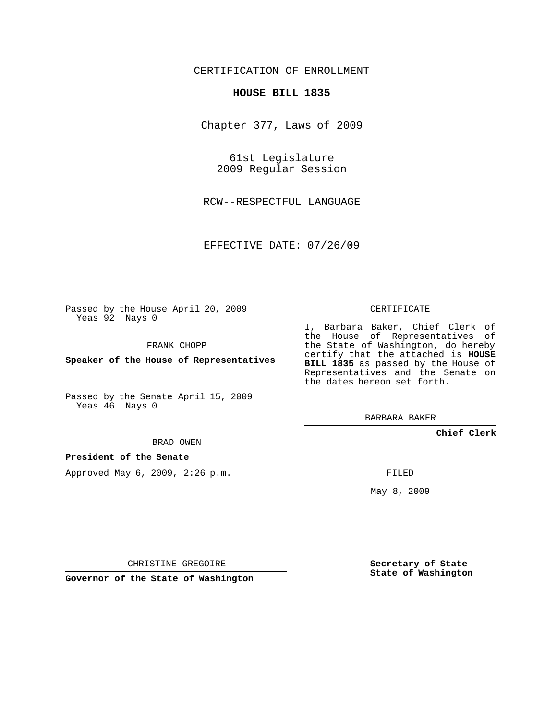# CERTIFICATION OF ENROLLMENT

## **HOUSE BILL 1835**

Chapter 377, Laws of 2009

61st Legislature 2009 Regular Session

RCW--RESPECTFUL LANGUAGE

EFFECTIVE DATE: 07/26/09

Passed by the House April 20, 2009 Yeas 92 Nays 0

FRANK CHOPP

**Speaker of the House of Representatives**

Passed by the Senate April 15, 2009 Yeas 46 Nays 0

BRAD OWEN

**President of the Senate**

Approved May 6, 2009, 2:26 p.m.

CERTIFICATE

I, Barbara Baker, Chief Clerk of the House of Representatives of the State of Washington, do hereby certify that the attached is **HOUSE BILL 1835** as passed by the House of Representatives and the Senate on the dates hereon set forth.

BARBARA BAKER

**Chief Clerk**

FILED

May 8, 2009

**Secretary of State State of Washington**

CHRISTINE GREGOIRE

**Governor of the State of Washington**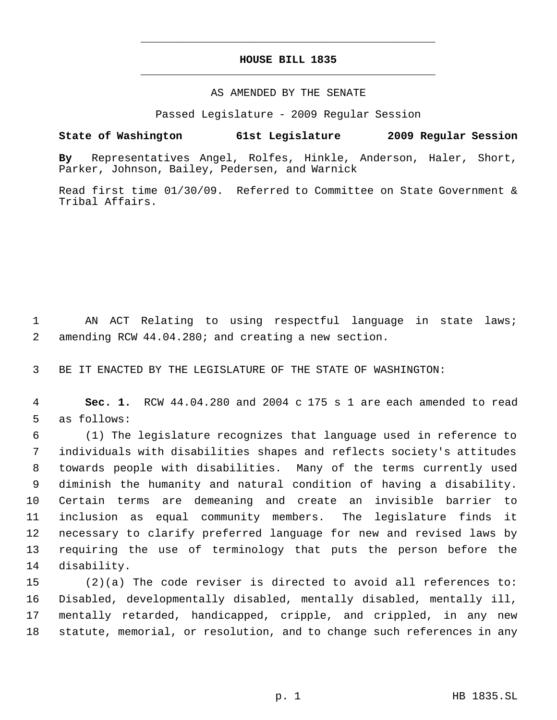# **HOUSE BILL 1835** \_\_\_\_\_\_\_\_\_\_\_\_\_\_\_\_\_\_\_\_\_\_\_\_\_\_\_\_\_\_\_\_\_\_\_\_\_\_\_\_\_\_\_\_\_

\_\_\_\_\_\_\_\_\_\_\_\_\_\_\_\_\_\_\_\_\_\_\_\_\_\_\_\_\_\_\_\_\_\_\_\_\_\_\_\_\_\_\_\_\_

## AS AMENDED BY THE SENATE

Passed Legislature - 2009 Regular Session

## **State of Washington 61st Legislature 2009 Regular Session**

**By** Representatives Angel, Rolfes, Hinkle, Anderson, Haler, Short, Parker, Johnson, Bailey, Pedersen, and Warnick

Read first time 01/30/09. Referred to Committee on State Government & Tribal Affairs.

 AN ACT Relating to using respectful language in state laws; amending RCW 44.04.280; and creating a new section.

BE IT ENACTED BY THE LEGISLATURE OF THE STATE OF WASHINGTON:

 **Sec. 1.** RCW 44.04.280 and 2004 c 175 s 1 are each amended to read as follows:

 (1) The legislature recognizes that language used in reference to individuals with disabilities shapes and reflects society's attitudes towards people with disabilities. Many of the terms currently used diminish the humanity and natural condition of having a disability. Certain terms are demeaning and create an invisible barrier to inclusion as equal community members. The legislature finds it necessary to clarify preferred language for new and revised laws by requiring the use of terminology that puts the person before the disability.

 (2)(a) The code reviser is directed to avoid all references to: Disabled, developmentally disabled, mentally disabled, mentally ill, mentally retarded, handicapped, cripple, and crippled, in any new statute, memorial, or resolution, and to change such references in any